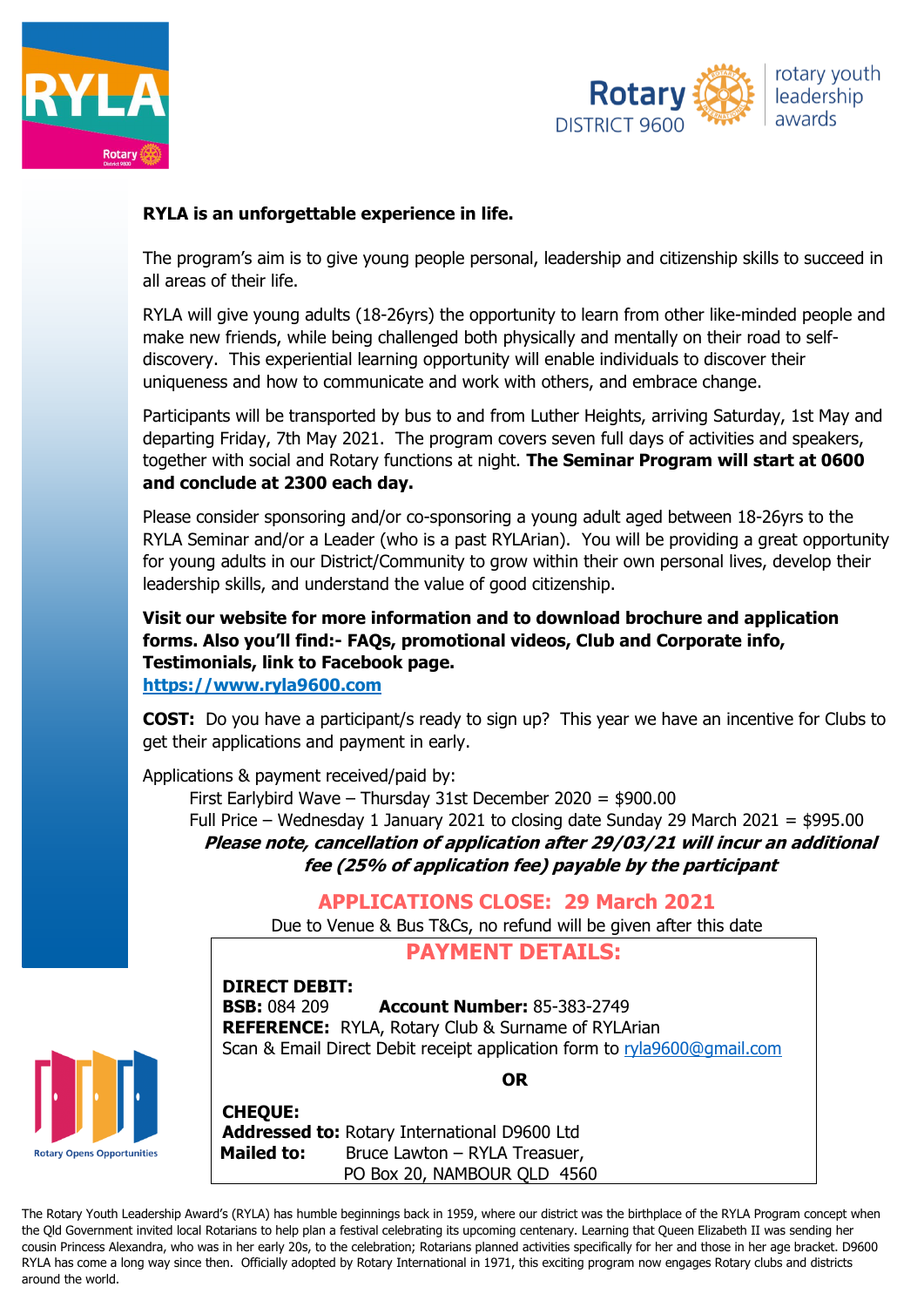



## **RYLA is an unforgettable experience in life.**

The program's aim is to give young people personal, leadership and citizenship skills to succeed in all areas of their life.

RYLA will give young adults (18-26yrs) the opportunity to learn from other like-minded people and make new friends, while being challenged both physically and mentally on their road to selfdiscovery. This experiential learning opportunity will enable individuals to discover their uniqueness and how to communicate and work with others, and embrace change.

Participants will be transported by bus to and from Luther Heights, arriving Saturday, 1st May and departing Friday, 7th May 2021. The program covers seven full days of activities and speakers, together with social and Rotary functions at night. **The Seminar Program will start at 0600 and conclude at 2300 each day.** 

Please consider sponsoring and/or co-sponsoring a young adult aged between 18-26yrs to the RYLA Seminar and/or a Leader (who is a past RYLArian). You will be providing a great opportunity for young adults in our District/Community to grow within their own personal lives, develop their leadership skills, and understand the value of good citizenship.

**Visit our website for more information and to download brochure and application forms. Also you'll find:- FAQs, promotional videos, Club and Corporate info, Testimonials, link to Facebook page. https://www.ryla9600.com**

**COST:** Do you have a participant/s ready to sign up? This year we have an incentive for Clubs to get their applications and payment in early.

Applications & payment received/paid by:

First Earlybird Wave – Thursday 31st December 2020 = \$900.00 Full Price – Wednesday 1 January 2021 to closing date Sunday 29 March 2021 = \$995.00 **Please note, cancellation of application after 29/03/21 will incur an additional fee (25% of application fee) payable by the participant**

## **APPLICATIONS CLOSE: 29 March 2021**

Due to Venue & Bus T&Cs, no refund will be given after this date

## **PAYMENT DETAILS:**

**DIRECT DEBIT:**

**BSB:** 084 209 **Account Number:** 85-383-2749 **REFERENCE:** RYLA, Rotary Club & Surname of RYLArian Scan & Email Direct Debit receipt application form to [ryla9600@gmail.com](mailto:ryla9600@gmail.com)



**OR**

**CHEQUE: Addressed to:** Rotary International D9600 Ltd **Mailed to:** Bruce Lawton – RYLA Treasuer, PO Box 20, NAMBOUR QLD 4560

The Rotary Youth Leadership Award's (RYLA) has humble beginnings back in 1959, where our district was the birthplace of the RYLA Program concept when the Qld Government invited local Rotarians to help plan a festival celebrating its upcoming centenary. Learning that Queen Elizabeth II was sending her cousin Princess Alexandra, who was in her early 20s, to the celebration; Rotarians planned activities specifically for her and those in her age bracket. D9600 RYLA has come a long way since then. Officially adopted by Rotary International in 1971, this exciting program now engages Rotary clubs and districts around the world.